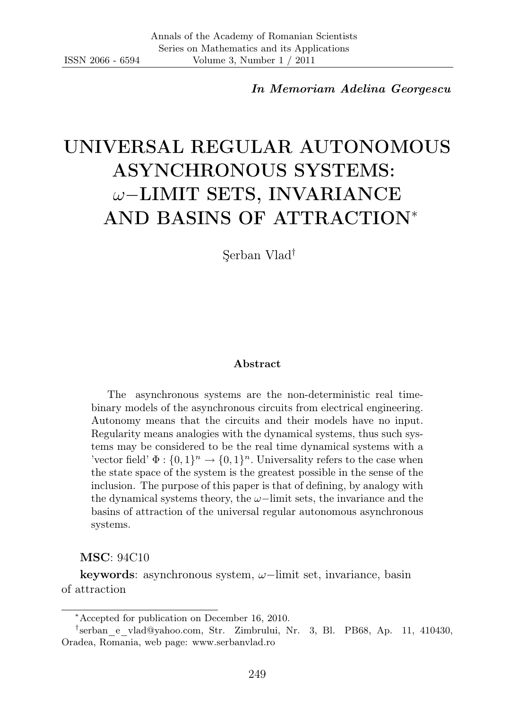In Memoriam Adelina Georgescu

# UNIVERSAL REGULAR AUTONOMOUS ASYNCHRONOUS SYSTEMS: ω−LIMIT SETS, INVARIANCE AND BASINS OF ATTRACTION<sup>∗</sup>

Şerban Vlad†

#### Abstract

The asynchronous systems are the non-deterministic real timebinary models of the asynchronous circuits from electrical engineering. Autonomy means that the circuits and their models have no input. Regularity means analogies with the dynamical systems, thus such systems may be considered to be the real time dynamical systems with a 'vector field'  $\Phi: \{0,1\}^n \to \{0,1\}^n$ . Universality refers to the case when the state space of the system is the greatest possible in the sense of the inclusion. The purpose of this paper is that of defining, by analogy with the dynamical systems theory, the  $\omega$ −limit sets, the invariance and the basins of attraction of the universal regular autonomous asynchronous systems.

MSC: 94C10

keywords: asynchronous system, ω−limit set, invariance, basin of attraction

<sup>∗</sup>Accepted for publication on December 16, 2010.

<sup>†</sup> serban\_e\_vlad@yahoo.com, Str. Zimbrului, Nr. 3, Bl. PB68, Ap. 11, 410430, Oradea, Romania, web page: www.serbanvlad.ro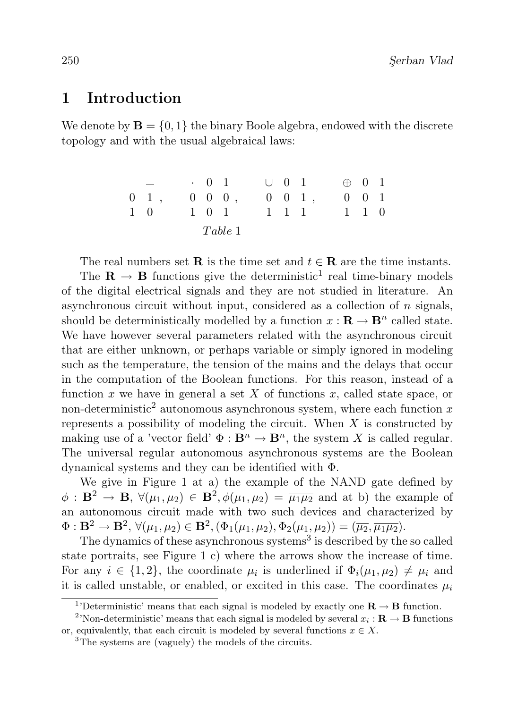#### 1 Introduction

We denote by  $\mathbf{B} = \{0, 1\}$  the binary Boole algebra, endowed with the discrete topology and with the usual algebraical laws:

|             |                     |  |       | $\cdot$ 0 1           |  | $\cup$ 0 1          |                       | $\oplus$ 0 1 |                     |  |
|-------------|---------------------|--|-------|-----------------------|--|---------------------|-----------------------|--------------|---------------------|--|
|             | $0 \quad 1 \quad ,$ |  |       | $0 \quad 0 \quad 0$ , |  |                     | $0 \quad 0 \quad 1$ , |              | $0 \quad 0 \quad 1$ |  |
| $1 \quad 0$ |                     |  | 1 0 1 |                       |  | $1 \quad 1 \quad 1$ |                       |              | $1 \quad 1 \quad 0$ |  |
| Table 1     |                     |  |       |                       |  |                     |                       |              |                     |  |

The real numbers set **R** is the time set and  $t \in \mathbf{R}$  are the time instants.

The  $\mathbf{R} \to \mathbf{B}$  functions give the deterministic<sup>1</sup> real time-binary models of the digital electrical signals and they are not studied in literature. An asynchronous circuit without input, considered as a collection of  $n$  signals, should be deterministically modelled by a function  $x : \mathbf{R} \to \mathbf{B}^n$  called state. We have however several parameters related with the asynchronous circuit that are either unknown, or perhaps variable or simply ignored in modeling such as the temperature, the tension of the mains and the delays that occur in the computation of the Boolean functions. For this reason, instead of a function x we have in general a set X of functions x, called state space, or non-deterministic<sup>2</sup> autonomous asynchronous system, where each function  $x$ represents a possibility of modeling the circuit. When  $X$  is constructed by making use of a 'vector field'  $\Phi : \mathbf{B}^n \to \mathbf{B}^n$ , the system X is called regular. The universal regular autonomous asynchronous systems are the Boolean dynamical systems and they can be identified with Φ.

We give in Figure 1 at a) the example of the NAND gate defined by  $\phi: \mathbf{B}^2 \to \mathbf{B}, \ \forall (\mu_1, \mu_2) \in \mathbf{B}^2, \phi(\mu_1, \mu_2) = \overline{\mu_1 \mu_2}$  and at b) the example of an autonomous circuit made with two such devices and characterized by  $\Phi: \mathbf{B}^2 \to \mathbf{B}^2, \, \forall (\mu_1, \mu_2) \in \mathbf{B}^2, (\Phi_1(\mu_1, \mu_2), \Phi_2(\mu_1, \mu_2)) = (\overline{\mu_2}, \overline{\mu_1 \mu_2}).$ 

The dynamics of these asynchronous systems<sup>3</sup> is described by the so called state portraits, see Figure 1 c) where the arrows show the increase of time. For any  $i \in \{1,2\}$ , the coordinate  $\mu_i$  is underlined if  $\Phi_i(\mu_1, \mu_2) \neq \mu_i$  and it is called unstable, or enabled, or excited in this case. The coordinates  $\mu_i$ 

<sup>&</sup>lt;sup>1</sup>'Deterministic' means that each signal is modeled by exactly one  $\mathbf{R} \to \mathbf{B}$  function.

<sup>&</sup>lt;sup>2</sup>'Non-deterministic' means that each signal is modeled by several  $x_i : \mathbf{R} \to \mathbf{B}$  functions or, equivalently, that each circuit is modeled by several functions  $x \in X$ .

<sup>3</sup>The systems are (vaguely) the models of the circuits.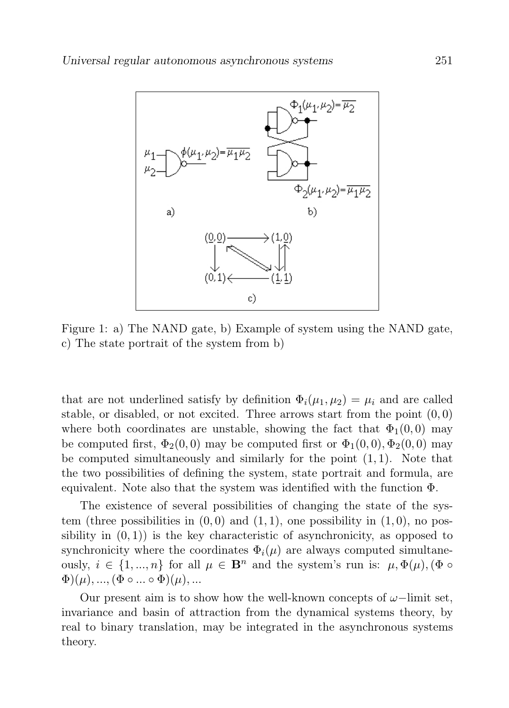

Figure 1: a) The NAND gate, b) Example of system using the NAND gate, c) The state portrait of the system from b)

that are not underlined satisfy by definition  $\Phi_i(\mu_1, \mu_2) = \mu_i$  and are called stable, or disabled, or not excited. Three arrows start from the point  $(0,0)$ where both coordinates are unstable, showing the fact that  $\Phi_1(0,0)$  may be computed first,  $\Phi_2(0,0)$  may be computed first or  $\Phi_1(0,0), \Phi_2(0,0)$  may be computed simultaneously and similarly for the point  $(1, 1)$ . Note that the two possibilities of defining the system, state portrait and formula, are equivalent. Note also that the system was identified with the function Φ.

The existence of several possibilities of changing the state of the system (three possibilities in  $(0, 0)$  and  $(1, 1)$ , one possibility in  $(1, 0)$ , no possibility in  $(0, 1)$  is the key characteristic of asynchronicity, as opposed to synchronicity where the coordinates  $\Phi_i(\mu)$  are always computed simultaneously,  $i \in \{1, ..., n\}$  for all  $\mu \in \mathbf{B}^n$  and the system's run is:  $\mu, \Phi(\mu), (\Phi \circ$  $\Phi$  $(\mu)$ , ...,  $(\Phi \circ \dots \circ \Phi)(\mu)$ , ...

Our present aim is to show how the well-known concepts of  $\omega$ -limit set, invariance and basin of attraction from the dynamical systems theory, by real to binary translation, may be integrated in the asynchronous systems theory.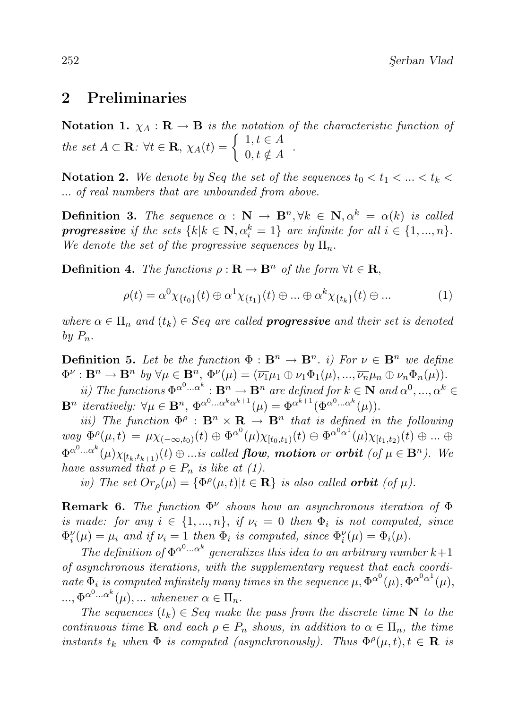#### 2 Preliminaries

Notation 1.  $\chi_A : \mathbf{R} \to \mathbf{B}$  is the notation of the characteristic function of the set  $A \subset \mathbf{R}$ :  $\forall t \in \mathbf{R}$ ,  $\chi_A(t) = \begin{cases} 1, t \in A \\ 0, t \in A \end{cases}$  $0, t \notin A$ .

Notation 2. We denote by Seq the set of the sequences  $t_0 < t_1 < ... < t_k$ ... of real numbers that are unbounded from above.

**Definition 3.** The sequence  $\alpha$  :  $N \to \mathbf{B}^n$ ,  $\forall k \in \mathbf{N}$ ,  $\alpha^k = \alpha(k)$  is called **progressive** if the sets  $\{k | k \in \mathbf{N}, \alpha_i^k = 1\}$  are infinite for all  $i \in \{1, ..., n\}$ . We denote the set of the progressive sequences by  $\Pi_n$ .

**Definition 4.** The functions  $\rho : \mathbf{R} \to \mathbf{B}^n$  of the form  $\forall t \in \mathbf{R}$ ,

$$
\rho(t) = \alpha^0 \chi_{\{t_0\}}(t) \oplus \alpha^1 \chi_{\{t_1\}}(t) \oplus \dots \oplus \alpha^k \chi_{\{t_k\}}(t) \oplus \dots \tag{1}
$$

where  $\alpha \in \Pi_n$  and  $(t_k) \in Seq$  are called **progressive** and their set is denoted by  $P_n$ .

**Definition 5.** Let be the function  $\Phi : \mathbf{B}^n \to \mathbf{B}^n$ . i) For  $\nu \in \mathbf{B}^n$  we define  $\Phi^{\nu}: \mathbf{B}^n \to \mathbf{B}^n$  by  $\forall \mu \in \mathbf{B}^n$ ,  $\Phi^{\nu}(\mu) = (\overline{\nu_1}\mu_1 \oplus \nu_1 \Phi_1(\mu), ..., \overline{\nu_n}\mu_n \oplus \nu_n \Phi_n(\mu)).$ 

*ii*) The functions  $\Phi^{\alpha^0} \cdot \cdot \alpha^k : \mathbf{B}^n \to \mathbf{B}^n$  are defined for  $k \in \mathbf{N}$  and  $\alpha^0, \dots, \alpha^k \in \mathbf{N}$  $\mathbf{B}^n$  iteratively:  $\forall \mu \in \mathbf{B}^n$ ,  $\Phi^{\alpha^0 \dots \alpha^k \alpha^{k+1}}(\mu) = \Phi^{\alpha^{k+1}}(\Phi^{\alpha^0 \dots \alpha^k}(\mu)).$ 

iii) The function  $\Phi^{\rho}$ :  $\mathbf{B}^n \times \mathbf{R} \to \mathbf{B}^n$  that is defined in the following  $way \ \Phi^{\rho}(\mu, t) = \mu \chi_{(-\infty, t_0)}(t) \oplus {\Phi^{\alpha}}^0(\mu) \chi_{[t_0, t_1)}(t) \oplus {\Phi^{\alpha}}^{0 \alpha^1}(\mu) \chi_{[t_1, t_2)}(t) \oplus ... \oplus$  $\Phi^{\alpha^0...\alpha^k}(\mu)\chi_{[t_k,t_{k+1})}(t) \oplus ...$  is called **flow**, **motion** or **orbit** (of  $\mu \in \mathbf{B}^n$ ). We have assumed that  $\rho \in P_n$  is like at (1).

iv) The set  $Or_{\rho}(\mu) = {\Phi^{\rho}(\mu, t) | t \in \mathbf{R}}$  is also called **orbit** (of  $\mu$ ).

**Remark 6.** The function  $\Phi^{\nu}$  shows how an asynchronous iteration of  $\Phi$ is made: for any  $i \in \{1, ..., n\}$ , if  $\nu_i = 0$  then  $\Phi_i$  is not computed, since  $\Phi_i^{\nu}(\mu) = \mu_i$  and if  $\nu_i = 1$  then  $\Phi_i$  is computed, since  $\Phi_i^{\nu}(\mu) = \Phi_i(\mu)$ .

The definition of  $\Phi^{\alpha^0 \dots \alpha^k}$  generalizes this idea to an arbitrary number  $k+1$ of asynchronous iterations, with the supplementary request that each coordinate  $\Phi_i$  is computed infinitely many times in the sequence  $\mu$ ,  $\Phi^{\alpha^0}(\mu)$ ,  $\Phi^{\alpha^0\alpha^1}(\mu)$ ,  $..., \Phi^{\alpha^0... \alpha^k}(\mu), ...$  whenever  $\alpha \in \Pi_n$ .

The sequences  $(t_k) \in Seq$  make the pass from the discrete time N to the continuous time **R** and each  $\rho \in P_n$  shows, in addition to  $\alpha \in \Pi_n$ , the time instants  $t_k$  when  $\Phi$  is computed (asynchronously). Thus  $\Phi^{\rho}(\mu, t), t \in \mathbf{R}$  is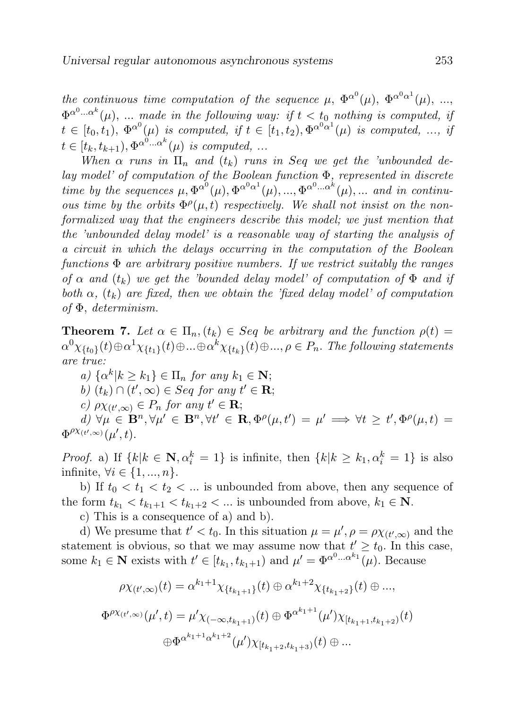the continuous time computation of the sequence  $\mu$ ,  $\Phi^{\alpha^0}(\mu)$ ,  $\Phi^{\alpha^0\alpha^1}(\mu)$ , ...,  $\Phi^{\alpha^0\ldots\alpha^k}(\mu)$ , ... made in the following way: if  $t < t_0$  nothing is computed, if  $t \in [t_0, t_1), \ \Phi^{\alpha^0}(\mu)$  is computed, if  $t \in [t_1, t_2), \Phi^{\alpha^0 \alpha^1}(\mu)$  is computed, ..., if  $t \in [t_k, t_{k+1}), \Phi^{\alpha^0 \dots \alpha^k}(\mu)$  is computed, ...

When  $\alpha$  runs in  $\Pi_n$  and  $(t_k)$  runs in Seq we get the 'unbounded delay model' of computation of the Boolean function Φ, represented in discrete time by the sequences  $\mu, \Phi^{\alpha^0}(\mu), \Phi^{\alpha^0\alpha^1}(\mu), ..., \Phi^{\alpha^0... \alpha^k}(\mu), ...$  and in continuous time by the orbits  $\Phi^{\rho}(\mu, t)$  respectively. We shall not insist on the nonformalized way that the engineers describe this model; we just mention that the 'unbounded delay model' is a reasonable way of starting the analysis of a circuit in which the delays occurring in the computation of the Boolean functions  $\Phi$  are arbitrary positive numbers. If we restrict suitably the ranges of  $\alpha$  and  $(t_k)$  we get the 'bounded delay model' of computation of  $\Phi$  and if both  $\alpha$ ,  $(t_k)$  are fixed, then we obtain the 'fixed delay model' of computation of Φ, determinism.

**Theorem 7.** Let  $\alpha \in \Pi_n$ ,  $(t_k) \in Seq$  be arbitrary and the function  $\rho(t) =$  $\alpha^0\chi_{\{t_0\}}(t)\oplus\alpha^1\chi_{\{t_1\}}(t)\oplus...\oplus\alpha^k\chi_{\{t_k\}}(t)\oplus...,\rho\in P_n.$  The following statements are true:

a)  $\{\alpha^k | k \geq k_1\} \in \Pi_n$  for any  $k_1 \in \mathbb{N}$ ; b)  $(t_k) \cap (t', \infty) \in Seq$  for any  $t' \in \mathbf{R}$ ; c)  $\rho \chi_{(t',\infty)} \in P_n$  for any  $t' \in \mathbf{R}$ ; d)  $\forall \mu \in \mathbf{B}^n, \forall \mu' \in \mathbf{B}^n, \forall t' \in \mathbf{R}, \Phi^{\rho}(\mu, t') = \mu' \Longrightarrow \forall t \geq t', \Phi^{\rho}(\mu, t) =$  $\Phi^{\rho\chi_{(t',\infty)}}(\mu',t).$ 

*Proof.* a) If  $\{k | k \in \mathbb{N}, \alpha_i^k = 1\}$  is infinite, then  $\{k | k \geq k_1, \alpha_i^k = 1\}$  is also infinite,  $\forall i \in \{1, ..., n\}.$ 

b) If  $t_0 < t_1 < t_2 < \dots$  is unbounded from above, then any sequence of the form  $t_{k_1} < t_{k_1+1} < t_{k_1+2} < \dots$  is unbounded from above,  $k_1 \in \mathbb{N}$ .

c) This is a consequence of a) and b).

d) We presume that  $t' < t_0$ . In this situation  $\mu = \mu', \rho = \rho \chi_{(t',\infty)}$  and the statement is obvious, so that we may assume now that  $t' \geq t_0$ . In this case, some  $k_1 \in \mathbf{N}$  exists with  $t' \in [t_{k_1}, t_{k_1+1})$  and  $\mu' = \Phi^{\alpha^0 \dots \alpha^{k_1}}(\mu)$ . Because

$$
\rho \chi_{(t',\infty)}(t) = \alpha^{k_1+1} \chi_{\{t_{k_1+1}\}}(t) \oplus \alpha^{k_1+2} \chi_{\{t_{k_1+2}\}}(t) \oplus \dots,
$$
  

$$
\Phi^{\rho \chi_{(t',\infty)}}(\mu',t) = \mu' \chi_{(-\infty,t_{k_1+1})}(t) \oplus \Phi^{\alpha^{k_1+1}}(\mu') \chi_{[t_{k_1+1},t_{k_1+2})}(t)
$$
  

$$
\oplus \Phi^{\alpha^{k_1+1}\alpha^{k_1+2}}(\mu') \chi_{[t_{k_1+2},t_{k_1+3})}(t) \oplus \dots
$$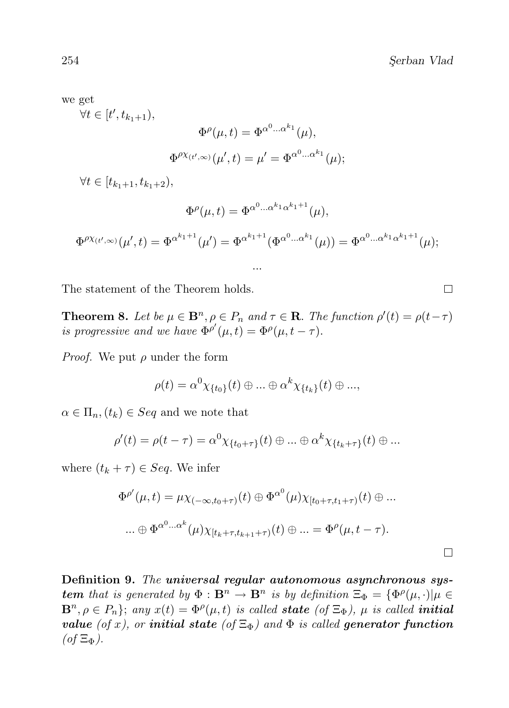we get

 $\forall t \in [t', t_{k_1+1}),$ 

$$
\Phi^{\rho}(\mu, t) = \Phi^{\alpha^0 \dots \alpha^{k_1}}(\mu),
$$
  

$$
\Phi^{\rho \chi_{(t', \infty)}}(\mu', t) = \mu' = \Phi^{\alpha^0 \dots \alpha^{k_1}}(\mu);
$$

 $\forall t \in [t_{k_1+1}, t_{k_1+2}),$ 

$$
\Phi^{\rho}(\mu, t) = \Phi^{\alpha^0 \dots \alpha^{k_1} \alpha^{k_1 + 1}}(\mu),
$$

$$
\Phi^{\rho\chi_{(t',\infty)}}(\mu',t) = \Phi^{\alpha^{k_1+1}}(\mu') = \Phi^{\alpha^{k_1+1}}(\Phi^{\alpha^0\ldots\alpha^{k_1}}(\mu)) = \Phi^{\alpha^0\ldots\alpha^{k_1}\alpha^{k_1+1}}(\mu);
$$

...

The statement of the Theorem holds.

**Theorem 8.** Let be  $\mu \in \mathbf{B}^n$ ,  $\rho \in P_n$  and  $\tau \in \mathbf{R}$ . The function  $\rho'(t) = \rho(t-\tau)$ is progressive and we have  $\Phi^{\rho\prime}(\mu, t) = \Phi^{\rho}(\mu, t - \tau)$ .

*Proof.* We put  $\rho$  under the form

$$
\rho(t) = \alpha^0 \chi_{\{t_0\}}(t) \oplus \ldots \oplus \alpha^k \chi_{\{t_k\}}(t) \oplus \ldots,
$$

 $\alpha \in \Pi_n$ ,  $(t_k) \in Seq$  and we note that

$$
\rho'(t) = \rho(t-\tau) = \alpha^0 \chi_{\{t_0+\tau\}}(t) \oplus \ldots \oplus \alpha^k \chi_{\{t_k+\tau\}}(t) \oplus \ldots
$$

where  $(t_k + \tau) \in Seq$ . We infer

$$
\Phi^{\rho'}(\mu, t) = \mu \chi_{(-\infty, t_0 + \tau)}(t) \oplus \Phi^{\alpha^0}(\mu) \chi_{[t_0 + \tau, t_1 + \tau)}(t) \oplus \dots
$$
  

$$
\dots \oplus \Phi^{\alpha^0 \dots \alpha^k}(\mu) \chi_{[t_k + \tau, t_{k+1} + \tau)}(t) \oplus \dots = \Phi^{\rho}(\mu, t - \tau).
$$

Definition 9. The universal regular autonomous asynchronous sys**tem** that is generated by  $\Phi : \mathbf{B}^n \to \mathbf{B}^n$  is by definition  $\Xi_{\Phi} = {\Phi^{\rho}(\mu, \cdot) | \mu \in \mathbb{R}^n}$  $\mathbf{B}^n, \rho \in P_n$ ; any  $x(t) = \Phi^{\rho}(\mu, t)$  is called **state** (of  $\Xi_{\Phi}$ ),  $\mu$  is called **initial** value (of x), or initial state (of  $\Xi_{\Phi}$ ) and  $\Phi$  is called generator function  $($ of  $\Xi_{\Phi}$ ).

 $\Box$ 

 $\Box$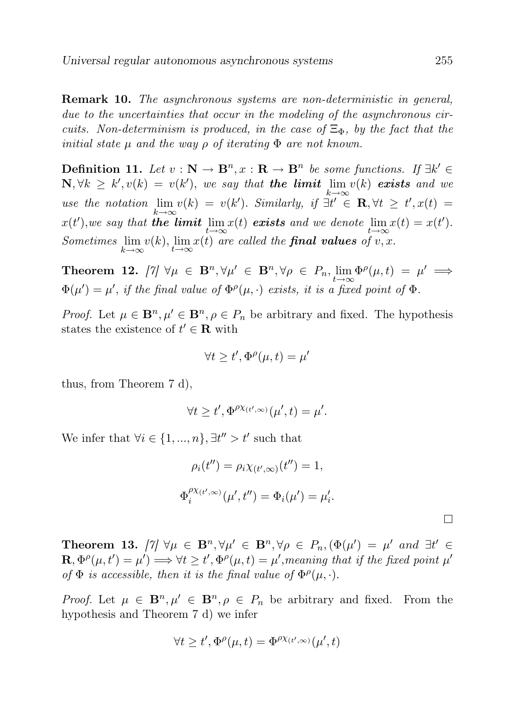Remark 10. The asynchronous systems are non-deterministic in general, due to the uncertainties that occur in the modeling of the asynchronous circuits. Non-determinism is produced, in the case of  $\Xi_{\Phi}$ , by the fact that the initial state  $\mu$  and the way  $\rho$  of iterating  $\Phi$  are not known.

**Definition 11.** Let  $v : \mathbb{N} \to \mathbb{B}^n$ ,  $x : \mathbb{R} \to \mathbb{B}^n$  be some functions. If  $\exists k' \in \mathbb{B}^n$  $\mathbf{N}, \forall k \geq k', v(k) = v(k'),$  we say that the limit lim  $v(k)$  exists and we  $k\rightarrow\infty$ use the notation  $\lim v(k) = v(k')$ . Similarly, if  $\exists t' \in \mathbf{R}, \forall t \geq t', x(t) =$  $k\rightarrow\infty$  $x(t')$ , we say that **the limit**  $\lim_{t\to\infty}x(t)$  **exists** and we denote  $\lim_{t\to\infty}x(t) = x(t')$ . Sometimes  $\lim_{k\to\infty} v(k)$ ,  $\lim_{t\to\infty} x(t)$  are called the **final values** of v, x.

Theorem 12.  $[\gamma] \ \forall \mu \in \mathbf{B}^n, \forall \mu' \in \mathbf{B}^n, \forall \rho \in P_n, \lim_{t \to \infty} \Phi^{\rho}(\mu, t) = \mu' \implies$  $\Phi(\mu') = \mu'$ , if the final value of  $\Phi^{\rho}(\mu, \cdot)$  exists, it is a fixed point of  $\Phi$ .

*Proof.* Let  $\mu \in \mathbf{B}^n, \mu' \in \mathbf{B}^n, \rho \in P_n$  be arbitrary and fixed. The hypothesis states the existence of  $t' \in \mathbf{R}$  with

$$
\forall t \ge t', \Phi^{\rho}(\mu, t) = \mu'
$$

thus, from Theorem 7 d),

$$
\forall t \geq t', \Phi^{\rho \chi_{(t',\infty)}}(\mu',t) = \mu'.
$$

We infer that  $\forall i \in \{1, ..., n\}, \exists t'' > t'$  such that

$$
\rho_i(t'') = \rho_i \chi_{(t',\infty)}(t'') = 1,
$$
  

$$
\Phi_i^{\rho \chi_{(t',\infty)}}(\mu', t'') = \Phi_i(\mu') = \mu'_i.
$$

 $\Box$ 

Theorem 13.  $[\gamma] \ \forall \mu \in \mathbf{B}^n, \forall \mu' \in \mathbf{B}^n, \forall \rho \in P_n, (\Phi(\mu')) = \mu'$  and  $\exists t' \in \mathbf{B}^n$  $\mathbf{R}, \Phi^{\rho}(\mu, t') = \mu'$   $\implies \forall t \geq t'$ ,  $\Phi^{\rho}(\mu, t) = \mu'$ , meaning that if the fixed point  $\mu'$ of  $\Phi$  is accessible, then it is the final value of  $\Phi^{\rho}(\mu, \cdot)$ .

*Proof.* Let  $\mu \in \mathbf{B}^n, \mu' \in \mathbf{B}^n, \rho \in P_n$  be arbitrary and fixed. From the hypothesis and Theorem 7 d) we infer

$$
\forall t \ge t', \Phi^{\rho}(\mu, t) = \Phi^{\rho \chi_{(t', \infty)}}(\mu', t)
$$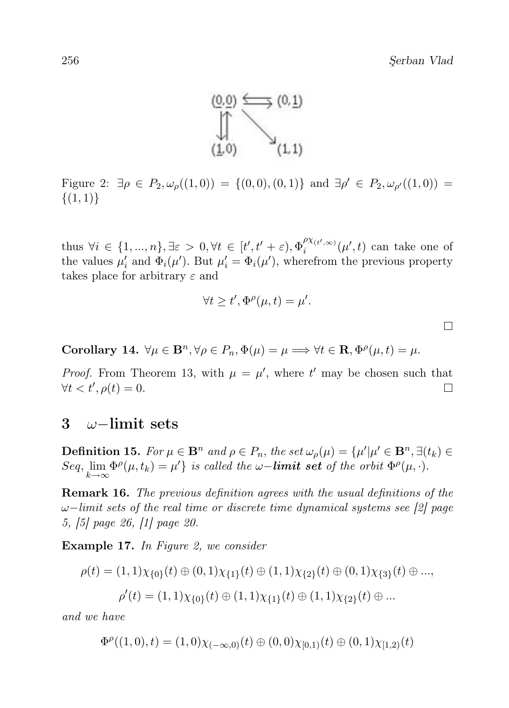

Figure 2:  $\exists \rho \in P_2, \omega_{\rho}((1,0)) = \{(0,0), (0,1)\}$  and  $\exists \rho' \in P_2, \omega_{\rho'}((1,0)) =$  $\{(1,1)\}\$ 

thus  $\forall i \in \{1, ..., n\}, \exists \varepsilon > 0, \forall t \in [t', t' + \varepsilon), \Phi_i^{\rho \chi_{(t', \infty)}}(\mu', t)$  can take one of the values  $\mu'_i$  and  $\Phi_i(\mu')$ . But  $\mu'_i = \Phi_i(\mu')$ , wherefrom the previous property takes place for arbitrary  $\varepsilon$  and

$$
\forall t \ge t', \Phi^{\rho}(\mu, t) = \mu'.
$$

 $\Box$ 

Corollary 14.  $\forall \mu \in \mathbf{B}^n, \forall \rho \in P_n, \Phi(\mu) = \mu \Longrightarrow \forall t \in \mathbf{R}, \Phi^{\rho}(\mu, t) = \mu.$ 

*Proof.* From Theorem 13, with  $\mu = \mu'$ , where t' may be chosen such that  $\forall t < t', \rho(t) = 0.$  $\Box$ 

#### 3 ω−limit sets

**Definition 15.** For  $\mu \in \mathbf{B}^n$  and  $\rho \in P_n$ , the set  $\omega_\rho(\mu) = {\mu'|\mu' \in \mathbf{B}^n, \exists (t_k) \in \mathbf{B}^n}$ Seq,  $\lim_{k \to \infty} \Phi^{\rho}(\mu, t_k) = \mu' \}$  is called the  $\omega$ -**limit set** of the orbit  $\Phi^{\rho}(\mu, \cdot)$ .

Remark 16. The previous definition agrees with the usual definitions of the  $\omega$ −limit sets of the real time or discrete time dynamical systems see [2] page 5, [5] page 26, [1] page 20.

Example 17. In Figure 2, we consider

$$
\rho(t) = (1,1)\chi_{\{0\}}(t) \oplus (0,1)\chi_{\{1\}}(t) \oplus (1,1)\chi_{\{2\}}(t) \oplus (0,1)\chi_{\{3\}}(t) \oplus ...,
$$

$$
\rho'(t) = (1,1)\chi_{\{0\}}(t) \oplus (1,1)\chi_{\{1\}}(t) \oplus (1,1)\chi_{\{2\}}(t) \oplus ...
$$

and we have

$$
\Phi^{\rho}((1,0),t) = (1,0)\chi_{(-\infty,0)}(t) \oplus (0,0)\chi_{[0,1)}(t) \oplus (0,1)\chi_{[1,2)}(t)
$$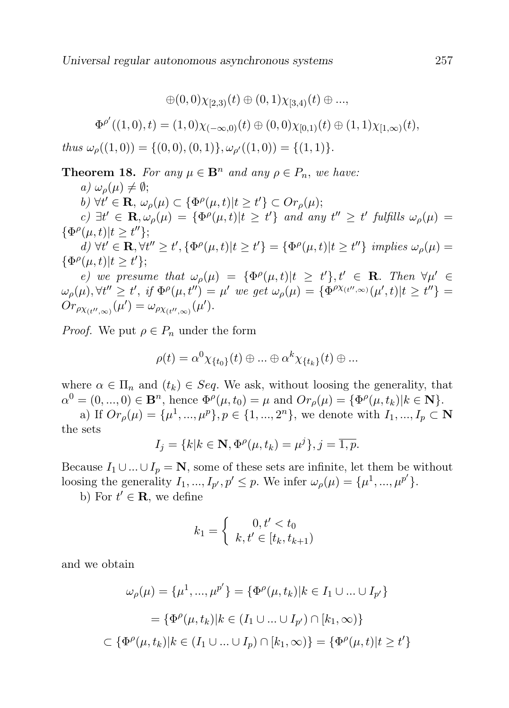Universal regular autonomous asynchronous systems 257

$$
\oplus (0,0)\chi_{[2,3)}(t) \oplus (0,1)\chi_{[3,4)}(t) \oplus ...,
$$
  

$$
\Phi^{\rho'}((1,0),t) = (1,0)\chi_{(-\infty,0)}(t) \oplus (0,0)\chi_{[0,1)}(t) \oplus (1,1)\chi_{[1,\infty)}(t),
$$
  
thus  $\omega_{\rho}((1,0)) = \{(0,0),(0,1)\}, \omega_{\rho'}((1,0)) = \{(1,1)\}.$ 

**Theorem 18.** For any  $\mu \in \mathbf{B}^n$  and any  $\rho \in P_n$ , we have:

a) 
$$
\omega_{\rho}(\mu) \neq \emptyset
$$
;  
\nb)  $\forall t' \in \mathbf{R}, \omega_{\rho}(\mu) \subset {\Phi^{\rho}(\mu, t) | t \ge t'} \subset Or_{\rho}(\mu)$ ;  
\nc)  $\exists t' \in \mathbf{R}, \omega_{\rho}(\mu) = {\Phi^{\rho}(\mu, t) | t \ge t'} \text{ and any } t'' \ge t' \text{ fulfills } \omega_{\rho}(\mu) = {\Phi^{\rho}(\mu, t) | t \ge t'' }$ ;  
\nd)  $\forall t' \in \mathbf{R} \ \forall t'' > t' \ \{\Phi^{\rho}(\mu, t) | t > t' \} = {\Phi^{\rho}(\mu, t) | t > t'' \} \ \text{implies } \omega_{\rho}(\mu) =$ 

d)  $\forall t' \in \mathbf{R}, \forall t'' \geq t', \{\Phi^{\rho}(\mu, t)|t \geq t'\} = \{\Phi^{\rho}(\mu, t)|t \geq t''\}$  implies  $\omega_{\rho}(\mu) =$  $\{\Phi^{\rho}(\mu,t)|t\geq t'\};$ 

e) we presume that  $\omega_{\rho}(\mu) = {\Phi^{\rho}(\mu, t) | t \geq t' }, t' \in \mathbf{R}$ . Then  $\forall \mu' \in$  $\omega_{\rho}(\mu), \forall t'' \geq t', \text{ if } \Phi^{\rho}(\mu, t'') = \mu' \text{ we get } \omega_{\rho}(\mu) = \{ \Phi^{\rho \chi_{(t'', \infty)}}(\mu', t) | t \geq t'' \} =$  $Or_{\rho_{X_{(t'',\infty)}}}(\mu') = \omega_{\rho_{X_{(t'',\infty)}}}(\mu').$ 

*Proof.* We put  $\rho \in P_n$  under the form

$$
\rho(t) = \alpha^0 \chi_{\{t_0\}}(t) \oplus \ldots \oplus \alpha^k \chi_{\{t_k\}}(t) \oplus \ldots
$$

where  $\alpha \in \Pi_n$  and  $(t_k) \in Seq$ . We ask, without loosing the generality, that  $\alpha^{0} = (0, ..., 0) \in \mathbf{B}^{n}$ , hence  $\Phi^{\rho}(\mu, t_{0}) = \mu$  and  $Or_{\rho}(\mu) = {\Phi^{\rho}(\mu, t_{k}) | k \in \mathbf{N}}$ .

a) If  $Or_{\rho}(\mu) = {\mu^1, ..., \mu^p}$ ,  $p \in {\{1, ..., 2^n\}}$ , we denote with  $I_1, ..., I_p \subset \mathbb{N}$ the sets

$$
I_j = \{k | k \in \mathbf{N}, \Phi^{\rho}(\mu, t_k) = \mu^j\}, j = \overline{1, p}.
$$

Because  $I_1 \cup ... \cup I_p = \mathbb{N}$ , some of these sets are infinite, let them be without loosing the generality  $I_1, ..., I_{p'}$ ,  $p' \leq p$ . We infer  $\omega_\rho(\mu) = {\mu^1, ..., \mu^{p'}}$ .

b) For  $t' \in \mathbf{R}$ , we define

$$
k_1 = \begin{cases} 0, t' < t_0 \\ k, t' \in [t_k, t_{k+1}) \end{cases}
$$

and we obtain

$$
\omega_{\rho}(\mu) = {\mu^1, ..., \mu^{p'}} = {\Phi^{\rho}(\mu, t_k) | k \in I_1 \cup ... \cup I_{p'}}= {\Phi^{\rho}(\mu, t_k) | k \in (I_1 \cup ... \cup I_{p'}) \cap [k_1, \infty)}
$$
  

$$
\subset {\Phi^{\rho}(\mu, t_k) | k \in (I_1 \cup ... \cup I_p) \cap [k_1, \infty)} = {\Phi^{\rho}(\mu, t) | t \ge t'}
$$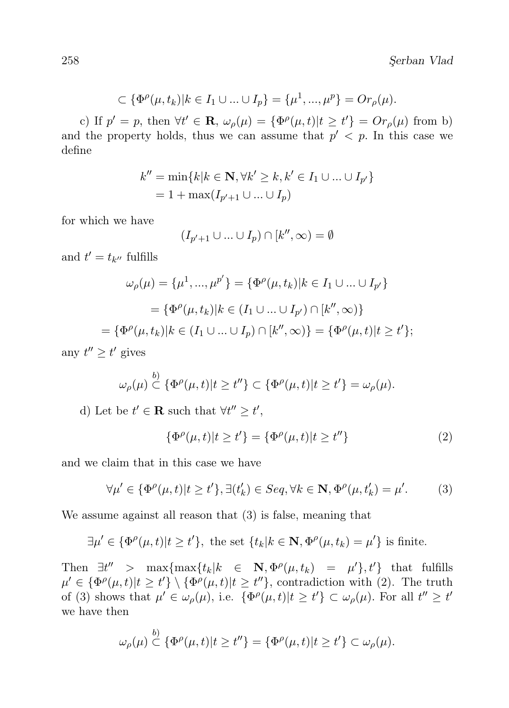$$
\subset {\Phi^{\rho}(\mu, t_k)|k \in I_1 \cup ... \cup I_p} = {\mu^1, ..., \mu^p} = Or_{\rho}(\mu).
$$

c) If  $p' = p$ , then  $\forall t' \in \mathbf{R}$ ,  $\omega_{\rho}(\mu) = {\Phi^{\rho}(\mu, t) | t \ge t'} = Or_{\rho}(\mu)$  from b) and the property holds, thus we can assume that  $p' < p$ . In this case we define

$$
k'' = \min\{k | k \in \mathbf{N}, \forall k' \ge k, k' \in I_1 \cup \dots \cup I_{p'}\}
$$
  
= 1 + \max(I\_{p'+1} \cup \dots \cup I\_p)

for which we have

$$
(I_{p'+1}\cup\ldots\cup I_p)\cap[k'',\infty)=\emptyset
$$

and  $t' = t_{k''}$  fulfills

$$
\omega_{\rho}(\mu) = {\mu^1, ..., \mu^{p'}} = {\Phi^{\rho}(\mu, t_k) | k \in I_1 \cup ... \cup I_{p'}} = {\Phi^{\rho}(\mu, t_k) | k \in (I_1 \cup ... \cup I_{p'}) \cap [k'', \infty)} = {\Phi^{\rho}(\mu, t_k) | k \in (I_1 \cup ... \cup I_p) \cap [k'', \infty)} = {\Phi^{\rho}(\mu, t) | t \ge t'};
$$

any  $t'' \geq t'$  gives

$$
\omega_{\rho}(\mu) \stackrel{b)}{\subset} \{\Phi^{\rho}(\mu, t)|t \geq t''\} \subset \{\Phi^{\rho}(\mu, t)|t \geq t'\} = \omega_{\rho}(\mu).
$$

d) Let be  $t' \in \mathbf{R}$  such that  $\forall t'' \geq t'$ ,

$$
\{\Phi^{\rho}(\mu, t)|t \ge t'\} = \{\Phi^{\rho}(\mu, t)|t \ge t''\}
$$
 (2)

and we claim that in this case we have

$$
\forall \mu' \in \{\Phi^{\rho}(\mu, t) | t \ge t'\}, \exists (t'_k) \in Seq, \forall k \in \mathbf{N}, \Phi^{\rho}(\mu, t'_k) = \mu'.\tag{3}
$$

We assume against all reason that (3) is false, meaning that

$$
\exists \mu' \in \{\Phi^{\rho}(\mu, t)|t \ge t'\}, \text{ the set } \{t_k|k \in \mathbf{N}, \Phi^{\rho}(\mu, t_k) = \mu'\} \text{ is finite.}
$$

Then  $\exists t'' > \max\{\max\{t_k | k \in \mathbb{N}, \Phi^{\rho}(\mu, t_k) = \mu'\}, t'\}\$  that fulfills  $\mu' \in {\Phi^{\rho}(\mu, t)|t \ge t'} \setminus {\Phi^{\rho}(\mu, t)|t \ge t''},$  contradiction with (2). The truth of (3) shows that  $\mu' \in \omega_{\rho}(\mu)$ , i.e.  $\{\Phi^{\rho}(\mu, t)|t \ge t'\} \subset \omega_{\rho}(\mu)$ . For all  $t'' \ge t'$ we have then

$$
\omega_{\rho}(\mu) \stackrel{b)}{\subset} \{\Phi^{\rho}(\mu, t)|t \geq t''\} = \{\Phi^{\rho}(\mu, t)|t \geq t'\} \subset \omega_{\rho}(\mu).
$$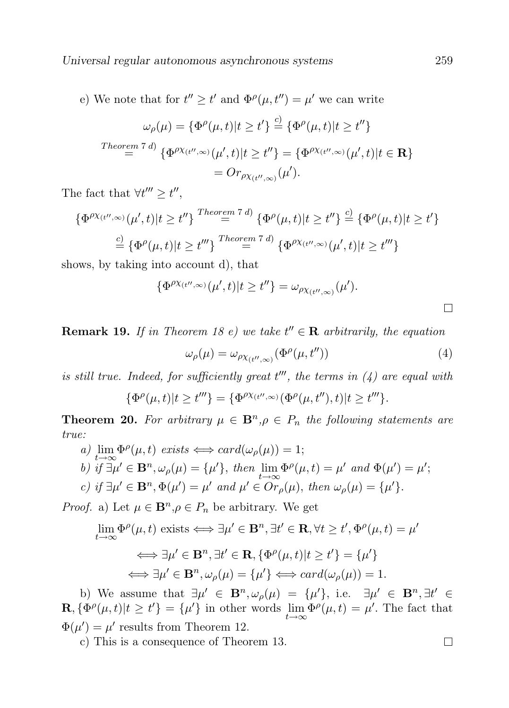e) We note that for  $t'' \geq t'$  and  $\Phi^{\rho}(\mu, t'') = \mu'$  we can write

$$
\omega_{\rho}(\mu) = \{ \Phi^{\rho}(\mu, t) | t \ge t' \} \stackrel{c)}{=} \{ \Phi^{\rho}(\mu, t) | t \ge t'' \}
$$
  
Theorem 7 d) 
$$
\{ \Phi^{\rho \chi_{(t'', \infty)}}(\mu', t) | t \ge t'' \} = \{ \Phi^{\rho \chi_{(t'', \infty)}}(\mu', t) | t \in \mathbf{R} \}
$$

$$
= Or_{\rho \chi_{(t'', \infty)}}(\mu').
$$

The fact that  $\forall t''' \geq t''$ ,

$$
\{\Phi^{\rho\chi_{(t'',\infty)}}(\mu',t)|t\geq t''\} \stackrel{Theorem 7 d)}{=} \{\Phi^{\rho}(\mu,t)|t\geq t''\} \stackrel{c)}{=} \{\Phi^{\rho}(\mu,t)|t\geq t''\}
$$

$$
\stackrel{c)}{=} \{\Phi^{\rho}(\mu,t)|t\geq t'''\} \stackrel{Theorem 7 d)}{=} \{\Phi^{\rho\chi_{(t'',\infty)}}(\mu',t)|t\geq t'''\}
$$

shows, by taking into account d), that

$$
\{\Phi^{\rho\chi_{(t'',\infty)}}(\mu',t)|t\geq t''\}=\omega_{\rho\chi_{(t'',\infty)}}(\mu').
$$

**Remark 19.** If in Theorem 18 e) we take  $t'' \in \mathbf{R}$  arbitrarily, the equation

$$
\omega_{\rho}(\mu) = \omega_{\rho \chi_{(t'',\infty)}}(\Phi^{\rho}(\mu, t'')) \tag{4}
$$

is still true. Indeed, for sufficiently great  $t'''$ , the terms in  $(4)$  are equal with

$$
\{\Phi^{\rho}(\mu,t)|t\geq t^{\prime\prime\prime}\}=\{\Phi^{\rho\chi_{(t^{\prime\prime},\infty)}}(\Phi^{\rho}(\mu,t^{\prime\prime}),t)|t\geq t^{\prime\prime\prime}\}.
$$

**Theorem 20.** For arbitrary  $\mu \in \mathbf{B}^n, \rho \in P_n$  the following statements are true:

a) 
$$
\lim_{t \to \infty} \Phi^{\rho}(\mu, t)
$$
 exists  $\Longleftrightarrow$  card $(\omega_{\rho}(\mu)) = 1$ ;  
b) if  $\exists \mu' \in \mathbf{B}^n$ ,  $\omega_{\rho}(\mu) = {\mu'}$ , then  $\lim_{t \to \infty} \Phi^{\rho}(\mu, t) = \mu'$  and  $\Phi(\mu') = \mu'$ ;  
c) if  $\exists \mu' \in \mathbf{B}^n$ ,  $\Phi(\mu') = \mu'$  and  $\mu' \in Or_{\rho}(\mu)$ , then  $\omega_{\rho}(\mu) = {\mu'}$ .

*Proof.* a) Let  $\mu \in \mathbf{B}^n, \rho \in P_n$  be arbitrary. We get

$$
\lim_{t \to \infty} \Phi^{\rho}(\mu, t) \text{ exists} \Longleftrightarrow \exists \mu' \in \mathbf{B}^n, \exists t' \in \mathbf{R}, \forall t \ge t', \Phi^{\rho}(\mu, t) = \mu'
$$

$$
\iff \exists \mu' \in \mathbf{B}^n, \exists t' \in \mathbf{R}, \{\Phi^{\rho}(\mu, t)|t \ge t'\} = \{\mu'\}
$$

$$
\iff \exists \mu' \in \mathbf{B}^n, \omega_{\rho}(\mu) = \{\mu'\} \Longleftrightarrow \operatorname{card}(\omega_{\rho}(\mu)) = 1.
$$

b) We assume that  $\exists \mu' \in \mathbf{B}^n, \omega_\rho(\mu) = {\mu'}$ , i.e.  $\exists \mu' \in \mathbf{B}^n, \exists t' \in$  $\mathbf{R}, \{\Phi^{\rho}(\mu, t)|t \ge t'\} = {\{\mu'\}}$  in other words  $\lim_{t \to \infty} \Phi^{\rho}(\mu, t) = {\mu'}$ . The fact that  $\Phi(\mu') = \mu'$  results from Theorem 12.

c) This is a consequence of Theorem 13.

 $\Box$ 

 $\Box$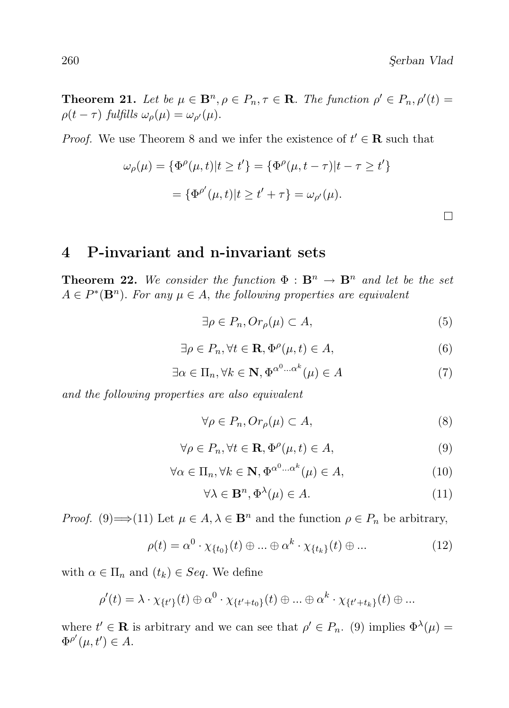$\Box$ 

**Theorem 21.** Let be  $\mu \in \mathbf{B}^n$ ,  $\rho \in P_n$ ,  $\tau \in \mathbf{R}$ . The function  $\rho' \in P_n$ ,  $\rho'(t) =$  $\rho(t-\tau)$  fulfills  $\omega_{\rho}(\mu) = \omega_{\rho'}(\mu)$ .

*Proof.* We use Theorem 8 and we infer the existence of  $t' \in \mathbf{R}$  such that

$$
\omega_{\rho}(\mu) = \{ \Phi^{\rho}(\mu, t) | t \ge t' \} = \{ \Phi^{\rho}(\mu, t - \tau) | t - \tau \ge t' \}
$$

$$
= \{ \Phi^{\rho'}(\mu, t) | t \ge t' + \tau \} = \omega_{\rho'}(\mu).
$$

#### 4 P-invariant and n-invariant sets

**Theorem 22.** We consider the function  $\Phi : \mathbf{B}^n \to \mathbf{B}^n$  and let be the set  $A \in P^*(\mathbf{B}^n)$ . For any  $\mu \in A$ , the following properties are equivalent

$$
\exists \rho \in P_n, Or_{\rho}(\mu) \subset A,
$$
\n<sup>(5)</sup>

$$
\exists \rho \in P_n, \forall t \in \mathbf{R}, \Phi^{\rho}(\mu, t) \in A,
$$
\n(6)

$$
\exists \alpha \in \Pi_n, \forall k \in \mathbf{N}, \Phi^{\alpha^0 \dots \alpha^k}(\mu) \in A \tag{7}
$$

and the following properties are also equivalent

$$
\forall \rho \in P_n, Or_\rho(\mu) \subset A,\tag{8}
$$

$$
\forall \rho \in P_n, \forall t \in \mathbf{R}, \Phi^{\rho}(\mu, t) \in A,
$$
\n(9)

$$
\forall \alpha \in \Pi_n, \forall k \in \mathbf{N}, \Phi^{\alpha^0 \dots \alpha^k}(\mu) \in A,\tag{10}
$$

$$
\forall \lambda \in \mathbf{B}^n, \Phi^{\lambda}(\mu) \in A. \tag{11}
$$

*Proof.* (9)  $\implies$  (11) Let  $\mu \in A$ ,  $\lambda \in \mathbf{B}^n$  and the function  $\rho \in P_n$  be arbitrary,

$$
\rho(t) = \alpha^0 \cdot \chi_{\{t_0\}}(t) \oplus \dots \oplus \alpha^k \cdot \chi_{\{t_k\}}(t) \oplus \dots \tag{12}
$$

with  $\alpha \in \Pi_n$  and  $(t_k) \in Seq$ . We define

$$
\rho'(t) = \lambda \cdot \chi_{\{t'\}}(t) \oplus \alpha^0 \cdot \chi_{\{t'+t_0\}}(t) \oplus \ldots \oplus \alpha^k \cdot \chi_{\{t'+t_k\}}(t) \oplus \ldots
$$

where  $t' \in \mathbf{R}$  is arbitrary and we can see that  $\rho' \in P_n$ . (9) implies  $\Phi^{\lambda}(\mu) =$  $\Phi^{\rho'}(\mu, t') \in A.$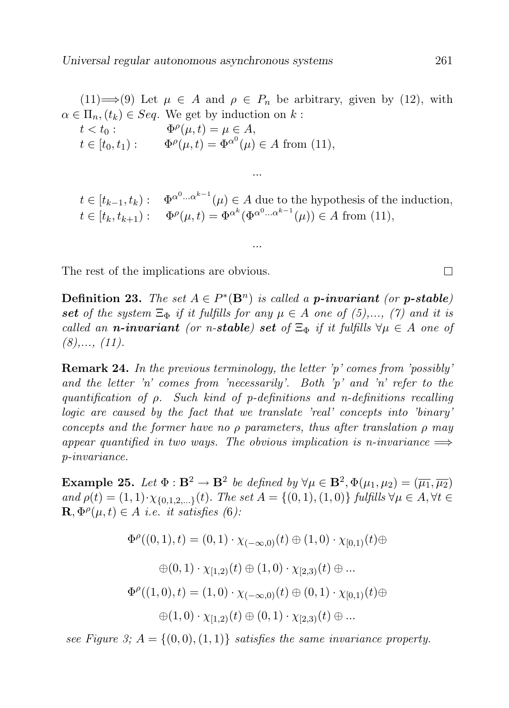(11)  $\Longrightarrow$  (9) Let  $\mu \in A$  and  $\rho \in P_n$  be arbitrary, given by (12), with  $\alpha \in \Pi_n$ ,  $(t_k) \in Seq$ . We get by induction on k:

...

...

$$
t < t_0: \qquad \Phi^{\rho}(\mu, t) = \mu \in A,
$$
  
\n
$$
t \in [t_0, t_1): \qquad \Phi^{\rho}(\mu, t) = \Phi^{\alpha^0}(\mu) \in A \text{ from (11)},
$$

$$
t \in [t_{k-1}, t_k) : \Phi^{\alpha^0 \dots \alpha^{k-1}}(\mu) \in A \text{ due to the hypothesis of the induction},
$$
  

$$
t \in [t_k, t_{k+1}) : \Phi^{\rho}(\mu, t) = \Phi^{\alpha^k}(\Phi^{\alpha^0 \dots \alpha^{k-1}}(\mu)) \in A \text{ from (11)},
$$

The rest of the implications are obvious.

**Definition 23.** The set  $A \in P^*(\mathbf{B}^n)$  is called a **p-invariant** (or **p-stable**) set of the system  $\Xi_{\Phi}$  if it fulfills for any  $\mu \in A$  one of (5),..., (7) and it is called an n-invariant (or n-stable) set of  $\Xi_{\Phi}$  if it fulfills  $\forall \mu \in A$  one of  $(8), \ldots, (11).$ 

Remark 24. In the previous terminology, the letter 'p' comes from 'possibly' and the letter 'n' comes from 'necessarily'. Both 'p' and 'n' refer to the quantification of ρ. Such kind of p-definitions and n-definitions recalling logic are caused by the fact that we translate 'real' concepts into 'binary' concepts and the former have no  $\rho$  parameters, thus after translation  $\rho$  may appear quantified in two ways. The obvious implication is n-invariance  $\implies$ p-invariance.

**Example 25.** Let  $\Phi : \mathbf{B}^2 \to \mathbf{B}^2$  be defined by  $\forall \mu \in \mathbf{B}^2, \Phi(\mu_1, \mu_2) = (\overline{\mu_1}, \overline{\mu_2})$ and  $\rho(t) = (1, 1) \cdot \chi_{\{0,1,2,...\}}(t)$ . The set  $A = \{(0, 1), (1, 0)\}\$  fulfills  $\forall \mu \in A, \forall t \in A$  $\mathbf{R}, \Phi^{\rho}(\mu, t) \in A$  i.e. it satisfies (6):

$$
\Phi^{\rho}((0,1),t) = (0,1) \cdot \chi_{(-\infty,0)}(t) \oplus (1,0) \cdot \chi_{[0,1)}(t) \oplus
$$
  

$$
\oplus (0,1) \cdot \chi_{[1,2)}(t) \oplus (1,0) \cdot \chi_{[2,3)}(t) \oplus \dots
$$
  

$$
\Phi^{\rho}((1,0),t) = (1,0) \cdot \chi_{(-\infty,0)}(t) \oplus (0,1) \cdot \chi_{[0,1)}(t) \oplus
$$
  

$$
\oplus (1,0) \cdot \chi_{[1,2)}(t) \oplus (0,1) \cdot \chi_{[2,3)}(t) \oplus \dots
$$

see Figure 3;  $A = \{(0, 0), (1, 1)\}$  satisfies the same invariance property.

 $\Box$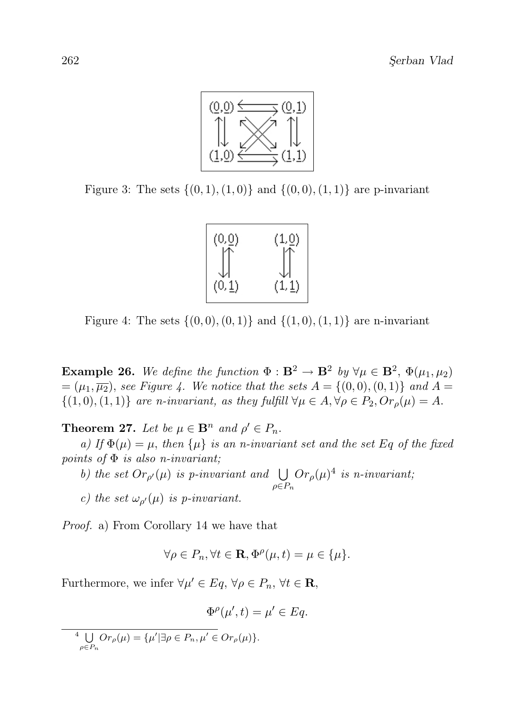

Figure 3: The sets  $\{(0, 1), (1, 0)\}\$  and  $\{(0, 0), (1, 1)\}\$  are p-invariant



Figure 4: The sets  $\{(0, 0), (0, 1)\}\$  and  $\{(1, 0), (1, 1)\}\$  are n-invariant

**Example 26.** We define the function  $\Phi : \mathbf{B}^2 \to \mathbf{B}^2$  by  $\forall \mu \in \mathbf{B}^2$ ,  $\Phi(\mu_1, \mu_2)$  $=(\mu_1,\overline{\mu_2})$ , see Figure 4. We notice that the sets  $A = \{(0,0), (0,1)\}$  and  $A =$  $\{(1,0),(1,1)\}\$ are n-invariant, as they fulfill  $\forall \mu \in A, \forall \rho \in P_2, Or_{\rho}(\mu) = A.$ 

**Theorem 27.** Let be  $\mu \in \mathbf{B}^n$  and  $\rho' \in P_n$ .

a) If  $\Phi(\mu) = \mu$ , then  $\{\mu\}$  is an n-invariant set and the set Eq of the fixed points of  $\Phi$  is also n-invariant;

b) the set  $Or_{\rho'}(\mu)$  is p-invariant and  $\bigcup$  $\rho \in P_n$  $Or_{\rho}(\mu)^{4}$  is n-invariant; c) the set  $\omega_{\rho}(\mu)$  is p-invariant.

Proof. a) From Corollary 14 we have that

$$
\forall \rho \in P_n, \forall t \in \mathbf{R}, \Phi^{\rho}(\mu, t) = \mu \in \{\mu\}.
$$

Furthermore, we infer  $\forall \mu' \in Eq, \forall \rho \in P_n, \forall t \in \mathbf{R}$ ,

$$
\Phi^{\rho}(\mu',t) = \mu' \in Eq.
$$

 $\frac{4}{3}$  U  $\bigcup_{\rho \in P_n} Or_{\rho}(\mu) = {\mu' | \exists \rho \in P_n, \mu' \in Or_{\rho}(\mu) }$ .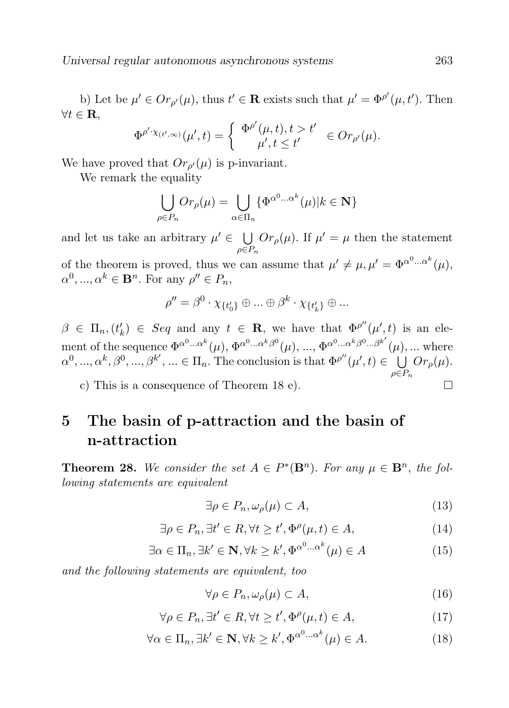b) Let be  $\mu' \in Or_{\rho'}(\mu)$ , thus  $t' \in \mathbf{R}$  exists such that  $\mu' = \Phi^{\rho'}(\mu, t')$ . Then  $\forall t \in \mathbf{R}$ ,

$$
\Phi^{\rho'\cdot\chi_{(t',\infty)}}(\mu',t) = \begin{cases} \Phi^{\rho'}(\mu,t), t > t' \\ \mu', t \leq t' \end{cases} \in Or_{\rho'}(\mu).
$$

We have proved that  $Or_{\rho'}(\mu)$  is p-invariant.

We remark the equality

$$
\bigcup_{\rho \in P_n} Or_{\rho}(\mu) = \bigcup_{\alpha \in \Pi_n} {\{\Phi^{\alpha^0 \dots \alpha^k}(\mu) | k \in \mathbf{N}\}}
$$

and let us take an arbitrary  $\mu' \in \bigcup$  $\rho \in P_n$  $Or_{\rho}(\mu)$ . If  $\mu' = \mu$  then the statement

of the theorem is proved, thus we can assume that  $\mu' \neq \mu, \mu' = \Phi^{\alpha^0 \dots \alpha^k}(\mu)$ ,  $\alpha^0, ..., \alpha^k \in \mathbf{B}^n$ . For any  $\rho'' \in P_n$ ,

$$
\rho''=\beta^0\cdot\chi_{\{t_0'\}}\oplus\ldots\oplus\beta^k\cdot\chi_{\{t_k'\}}\oplus\ldots
$$

 $\beta \in \Pi_n$ ,  $(t'_k) \in Seq$  and any  $t \in \mathbf{R}$ , we have that  $\Phi^{\rho''}(\mu', t)$  is an element of the sequence  $\Phi^{\alpha^0... \alpha^k}(\mu)$ ,  $\Phi^{\alpha^0... \alpha^k \beta^0}(\mu)$ , ...,  $\Phi^{\alpha^0... \alpha^k \beta^0... \beta^{k'}}(\mu)$ , ... where  $\alpha^0, \ldots, \alpha^k, \beta^0, \ldots, \beta^{k'}, \ldots \in \Pi_n$ . The conclusion is that  $\Phi^{\rho''}(\mu', t) \in \bigcup^{\infty} \mathcal{O}r_{\rho}(\mu)$ .  $\rho \in P_n$  $\Box$ 

c) This is a consequence of Theorem 18 e).

## 5 The basin of p-attraction and the basin of n-attraction

**Theorem 28.** We consider the set  $A \in P^*(\mathbf{B}^n)$ . For any  $\mu \in \mathbf{B}^n$ , the following statements are equivalent

$$
\exists \rho \in P_n, \omega_\rho(\mu) \subset A,\tag{13}
$$

$$
\exists \rho \in P_n, \exists t' \in R, \forall t \ge t', \Phi^{\rho}(\mu, t) \in A,
$$
\n(14)

$$
\exists \alpha \in \Pi_n, \exists k' \in \mathbf{N}, \forall k \ge k', \Phi^{\alpha^0 \dots \alpha^k}(\mu) \in A \tag{15}
$$

and the following statements are equivalent, too

$$
\forall \rho \in P_n, \omega_\rho(\mu) \subset A,\tag{16}
$$

$$
\forall \rho \in P_n, \exists t' \in R, \forall t \ge t', \Phi^{\rho}(\mu, t) \in A,
$$
\n(17)

$$
\forall \alpha \in \Pi_n, \exists k' \in \mathbf{N}, \forall k \ge k', \Phi^{\alpha^0 \dots \alpha^k}(\mu) \in A. \tag{18}
$$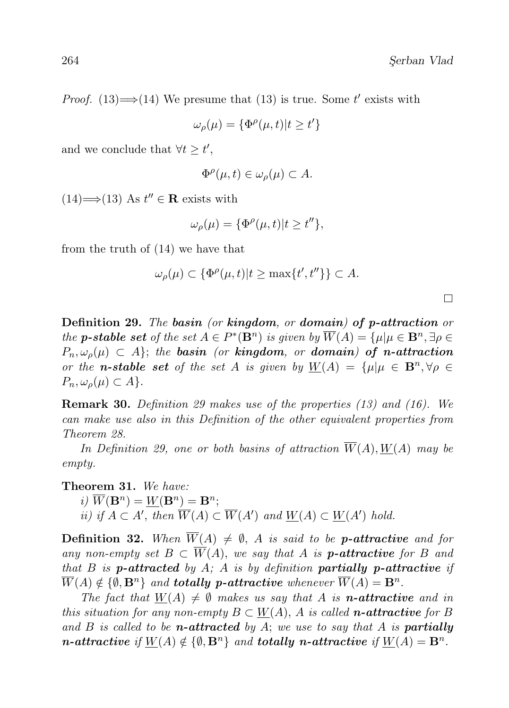$\Box$ 

*Proof.* (13)  $\Longrightarrow$  (14) We presume that (13) is true. Some t' exists with

$$
\omega_{\rho}(\mu) = \{ \Phi^{\rho}(\mu, t) | t \ge t' \}
$$

and we conclude that  $\forall t \geq t'$ ,

$$
\Phi^{\rho}(\mu, t) \in \omega_{\rho}(\mu) \subset A.
$$

 $(14) \implies (13)$  As  $t'' \in \mathbf{R}$  exists with

$$
\omega_{\rho}(\mu) = {\{\Phi^{\rho}(\mu, t)|t \ge t''\}},
$$

from the truth of (14) we have that

$$
\omega_{\rho}(\mu) \subset \{ \Phi^{\rho}(\mu, t) | t \ge \max\{t', t''\} \} \subset A.
$$

Definition 29. The basin (or kingdom, or domain) of p-attraction or the **p-stable set** of the set  $A \in P^*(\mathbf{B}^n)$  is given by  $\overline{W}(A) = {\mu | \mu \in \mathbf{B}^n, \exists \rho \in \mathbb{R}^n}$  $P_n, \omega_o(\mu) \subset A$ ; the basin (or kingdom, or domain) of n-attraction or the **n-stable set** of the set A is given by  $W(A) = \{\mu | \mu \in \mathbf{B}^n, \forall \rho \in$  $P_n, \omega_o(\mu) \subset A$ .

Remark 30. Definition 29 makes use of the properties (13) and (16). We can make use also in this Definition of the other equivalent properties from Theorem 28.

In Definition 29, one or both basins of attraction  $\overline{W}(A)$ ,  $W(A)$  may be empty.

Theorem 31. We have: i)  $\overline{W}(\mathbf{B}^n) = \underline{W}(\mathbf{B}^n) = \mathbf{B}^n;$ ii) if  $A \subset A'$ , then  $\overline{W}(A) \subset \overline{W}(A')$  and  $\underline{W}(A) \subset \underline{W}(A')$  hold.

**Definition 32.** When  $\overline{W}(A) \neq \emptyset$ , A is said to be **p-attractive** and for any non-empty set  $B \subset \overline{W}(A)$ , we say that A is **p-attractive** for B and that B is **p-attracted** by A; A is by definition **partially p-attractive** if  $\overline{W}(A) \notin \{\emptyset, \mathbf{B}^n\}$  and **totally p-attractive** whenever  $\overline{W}(A) = \mathbf{B}^n$ .

The fact that  $W(A) \neq \emptyset$  makes us say that A is **n-attractive** and in this situation for any non-empty  $B \subset W(A)$ , A is called **n-attractive** for B and  $B$  is called to be *n*-attracted by  $A$ ; we use to say that  $A$  is **partially** *n*-attractive if  $\underline{W}(A) \notin \{ \emptyset, \mathbf{B}^n \}$  and totally *n*-attractive if  $\underline{W}(A) = \mathbf{B}^n$ .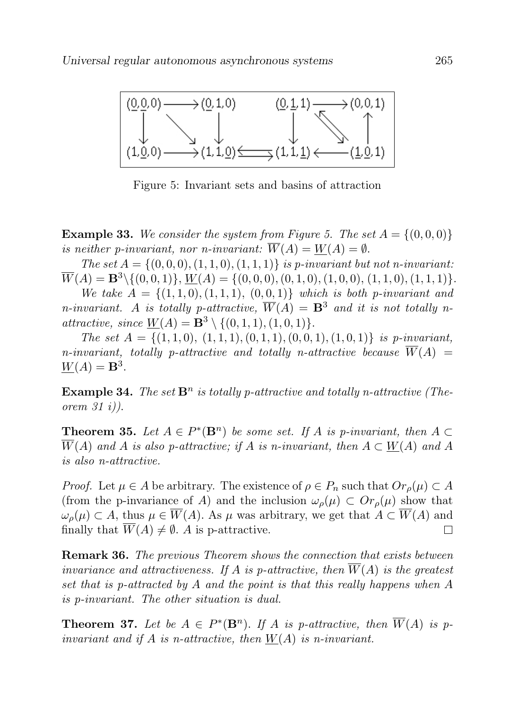

Figure 5: Invariant sets and basins of attraction

**Example 33.** We consider the system from Figure 5. The set  $A = \{(0,0,0)\}$ is neither p-invariant, nor n-invariant:  $\overline{W}(A) = W(A) = \emptyset$ .

The set  $A = \{(0, 0, 0), (1, 1, 0), (1, 1, 1)\}\$ is p-invariant but not n-invariant:  $\overline{W}(A) = \mathbf{B}^{3} \setminus \{(0, 0, 1)\}, W(A) = \{(0, 0, 0), (0, 1, 0), (1, 0, 0), (1, 1, 0), (1, 1, 1)\}.$ 

We take  $A = \{(1, 1, 0), (1, 1, 1), (0, 0, 1)\}$  which is both p-invariant and n-invariant. A is totally p-attractive,  $\overline{W}(A) = \mathbf{B}^3$  and it is not totally nattractive, since  $W(A) = \mathbf{B}^3 \setminus \{(0, 1, 1), (1, 0, 1)\}.$ 

The set  $A = \{(1, 1, 0), (1, 1, 1), (0, 1, 1), (0, 0, 1), (1, 0, 1)\}\$ is p-invariant, n-invariant, totally p-attractive and totally n-attractive because  $\overline{W}(A)$  =  $\underline{W}(A) = \mathbf{B}^3$ .

**Example 34.** The set  $\mathbf{B}^n$  is totally p-attractive and totally n-attractive (Theorem 31 i)).

**Theorem 35.** Let  $A \in P^*(\mathbf{B}^n)$  be some set. If A is p-invariant, then  $A \subset$  $\overline{W}(A)$  and A is also p-attractive; if A is n-invariant, then  $A \subset W(A)$  and A is also n-attractive.

*Proof.* Let  $\mu \in A$  be arbitrary. The existence of  $\rho \in P_n$  such that  $Or_{\rho}(\mu) \subset A$ (from the p-invariance of A) and the inclusion  $\omega_{\rho}(\mu) \subset Or_{\rho}(\mu)$  show that  $\omega_o(\mu) \subset A$ , thus  $\mu \in \overline{W}(A)$ . As  $\mu$  was arbitrary, we get that  $A \subset \overline{W}(A)$  and finally that  $\overline{W}(A) \neq \emptyset$ . A is p-attractive.  $\Box$ 

Remark 36. The previous Theorem shows the connection that exists between invariance and attractiveness. If A is p-attractive, then  $\overline{W}(A)$  is the greatest set that is p-attracted by A and the point is that this really happens when A is p-invariant. The other situation is dual.

**Theorem 37.** Let be  $A \in P^*(\mathbf{B}^n)$ . If A is p-attractive, then  $\overline{W}(A)$  is pinvariant and if A is n-attractive, then  $W(A)$  is n-invariant.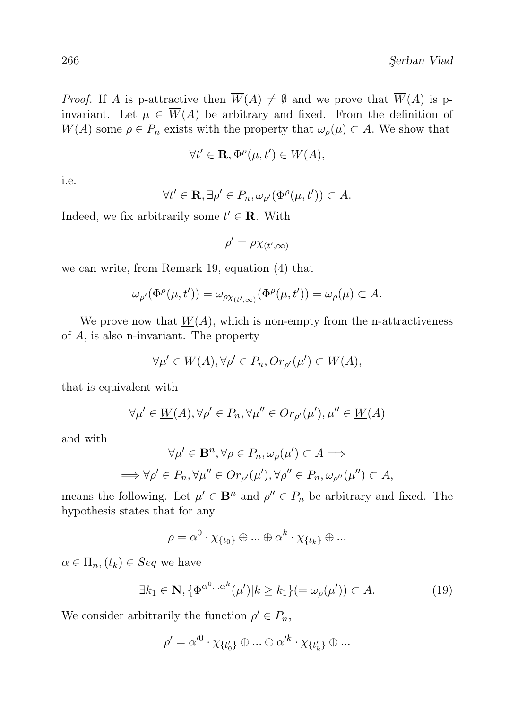*Proof.* If A is p-attractive then  $\overline{W}(A) \neq \emptyset$  and we prove that  $\overline{W}(A)$  is pinvariant. Let  $\mu \in \overline{W}(A)$  be arbitrary and fixed. From the definition of  $\overline{W}(A)$  some  $\rho \in P_n$  exists with the property that  $\omega_{\rho}(\mu) \subset A$ . We show that

$$
\forall t' \in \mathbf{R}, \Phi^{\rho}(\mu, t') \in \overline{W}(A),
$$

i.e.

$$
\forall t' \in \mathbf{R}, \exists \rho' \in P_n, \omega_{\rho'}(\Phi^{\rho}(\mu, t')) \subset A.
$$

Indeed, we fix arbitrarily some  $t' \in \mathbf{R}$ . With

$$
\rho' = \rho \chi_{(t',\infty)}
$$

we can write, from Remark 19, equation (4) that

$$
\omega_{\rho'}(\Phi^{\rho}(\mu, t')) = \omega_{\rho \chi_{(t', \infty)}}(\Phi^{\rho}(\mu, t')) = \omega_{\rho}(\mu) \subset A.
$$

We prove now that  $W(A)$ , which is non-empty from the n-attractiveness of A, is also n-invariant. The property

$$
\forall \mu' \in \underline{W}(A), \forall \rho' \in P_n, Or_{\rho'}(\mu') \subset \underline{W}(A),
$$

that is equivalent with

$$
\forall \mu' \in \underline{W}(A), \forall \rho' \in P_n, \forall \mu'' \in Or_{\rho'}(\mu'), \mu'' \in \underline{W}(A)
$$

and with

$$
\forall \mu' \in \mathbf{B}^n, \forall \rho \in P_n, \omega_{\rho}(\mu') \subset A \Longrightarrow
$$
  

$$
\implies \forall \rho' \in P_n, \forall \mu'' \in Or_{\rho'}(\mu'), \forall \rho'' \in P_n, \omega_{\rho''}(\mu'') \subset A,
$$

means the following. Let  $\mu' \in \mathbf{B}^n$  and  $\rho'' \in P_n$  be arbitrary and fixed. The hypothesis states that for any

$$
\rho = \alpha^0 \cdot \chi_{\{t_0\}} \oplus \ldots \oplus \alpha^k \cdot \chi_{\{t_k\}} \oplus \ldots
$$

 $\alpha \in \Pi_n, (t_k) \in Seq$  we have

$$
\exists k_1 \in \mathbf{N}, \{\Phi^{\alpha^0 \dots \alpha^k}(\mu') | k \ge k_1\} (= \omega_\rho(\mu')) \subset A. \tag{19}
$$

We consider arbitrarily the function  $\rho' \in P_n$ ,

$$
\rho'=\alpha'^0\cdot\chi_{\{t_0'\}}\oplus\ldots\oplus\alpha'^k\cdot\chi_{\{t_k'\}}\oplus\ldots
$$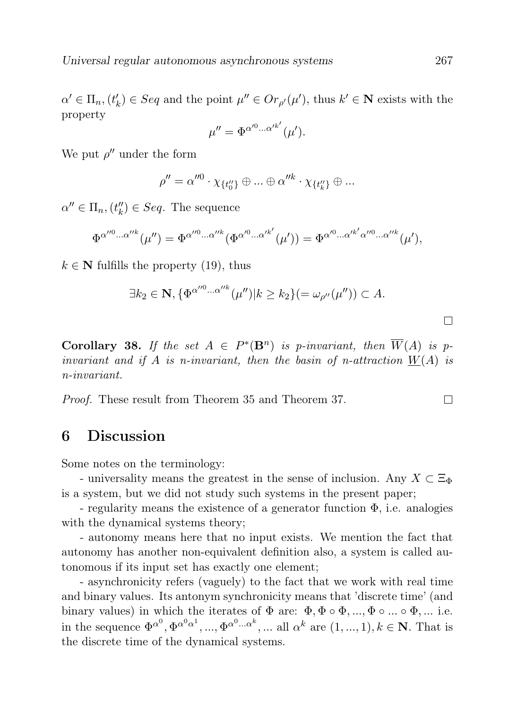$\alpha' \in \Pi_n$ ,  $(t'_k) \in Seq$  and the point  $\mu'' \in Or_{\rho'}(\mu')$ , thus  $k' \in \mathbb{N}$  exists with the property

$$
\mu'' = \Phi^{\alpha'^0 \dots \alpha'^{k'}}(\mu').
$$

We put  $\rho''$  under the form

$$
\rho'' = \alpha''^0 \cdot \chi_{\{t_0''\}} \oplus \ldots \oplus \alpha''^k \cdot \chi_{\{t_k''\}} \oplus \ldots
$$

 $\alpha'' \in \Pi_n$ ,  $(t''_k) \in Seq$ . The sequence

$$
\Phi^{\alpha''^0\ldots\alpha''^k}(\mu'') = \Phi^{\alpha''^0\ldots\alpha''^k}(\Phi^{\alpha'^0\ldots\alpha'^{k'}}(\mu')) = \Phi^{\alpha'^0\ldots\alpha'^{k'}\alpha''^0\ldots\alpha''^k}(\mu'),
$$

 $k \in \mathbb{N}$  fulfills the property (19), thus

$$
\exists k_2 \in \mathbf{N}, \{ \Phi^{\alpha^{\prime\prime 0} \dots \alpha^{\prime\prime k}}(\mu^{\prime\prime}) | k \geq k_2 \} (=\omega_{\rho^{\prime\prime}}(\mu^{\prime\prime})) \subset A.
$$

**Corollary 38.** If the set  $A \in P^*(\mathbf{B}^n)$  is p-invariant, then  $\overline{W}(A)$  is pinvariant and if A is n-invariant, then the basin of n-attraction  $W(A)$  is n-invariant.

Proof. These result from Theorem 35 and Theorem 37.

#### 6 Discussion

Some notes on the terminology:

- universality means the greatest in the sense of inclusion. Any  $X \subset \Xi_{\Phi}$ is a system, but we did not study such systems in the present paper;

- regularity means the existence of a generator function  $\Phi$ , i.e. analogies with the dynamical systems theory;

- autonomy means here that no input exists. We mention the fact that autonomy has another non-equivalent definition also, a system is called autonomous if its input set has exactly one element;

- asynchronicity refers (vaguely) to the fact that we work with real time and binary values. Its antonym synchronicity means that 'discrete time' (and binary values) in which the iterates of  $\Phi$  are:  $\Phi, \Phi \circ \Phi, ..., \Phi \circ ... \circ \Phi, ...$  i.e. in the sequence  $\Phi^{\alpha^0}, \Phi^{\alpha^0 \alpha^1}, ..., \Phi^{\alpha^0 \dots \alpha^k}, ...$  all  $\alpha^k$  are  $(1, ..., 1), k \in \mathbb{N}$ . That is the discrete time of the dynamical systems.

 $\Box$ 

 $\Box$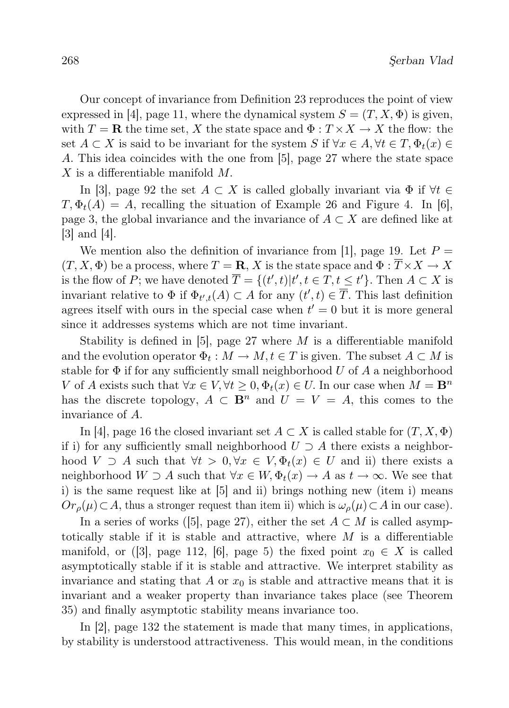Our concept of invariance from Definition 23 reproduces the point of view expressed in [4], page 11, where the dynamical system  $S = (T, X, \Phi)$  is given, with  $T = \mathbf{R}$  the time set, X the state space and  $\Phi : T \times X \to X$  the flow: the set  $A \subset X$  is said to be invariant for the system S if  $\forall x \in A, \forall t \in T, \Phi_t(x) \in$ A. This idea coincides with the one from [5], page 27 where the state space X is a differentiable manifold M.

In [3], page 92 the set  $A \subset X$  is called globally invariant via  $\Phi$  if  $\forall t \in$  $T, \Phi_t(A) = A$ , recalling the situation of Example 26 and Figure 4. In [6], page 3, the global invariance and the invariance of  $A \subset X$  are defined like at [3] and [4].

We mention also the definition of invariance from [1], page 19. Let  $P =$  $(T, X, \Phi)$  be a process, where  $T = \mathbf{R}, X$  is the state space and  $\Phi : \overline{T} \times X \to X$ is the flow of P; we have denoted  $\overline{T} = \{(t',t)|t', t \in T, t \leq t'\}$ . Then  $A \subset X$  is invariant relative to  $\Phi$  if  $\Phi_{t',t}(A) \subset A$  for any  $(t',t) \in \overline{T}$ . This last definition agrees itself with ours in the special case when  $t' = 0$  but it is more general since it addresses systems which are not time invariant.

Stability is defined in [5], page 27 where  $M$  is a differentiable manifold and the evolution operator  $\Phi_t: M \to M, t \in T$  is given. The subset  $A \subset M$  is stable for  $\Phi$  if for any sufficiently small neighborhood U of A a neighborhood V of A exists such that  $\forall x \in V, \forall t \geq 0, \Phi_t(x) \in U$ . In our case when  $M = \mathbf{B}^n$ has the discrete topology,  $A \subset \mathbf{B}^n$  and  $U = V = A$ , this comes to the invariance of A.

In [4], page 16 the closed invariant set  $A \subset X$  is called stable for  $(T, X, \Phi)$ if i) for any sufficiently small neighborhood  $U \supset A$  there exists a neighborhood  $V \supset A$  such that  $\forall t > 0, \forall x \in V, \Phi_t(x) \in U$  and ii) there exists a neighborhood  $W \supset A$  such that  $\forall x \in W$ ,  $\Phi_t(x) \to A$  as  $t \to \infty$ . We see that i) is the same request like at [5] and ii) brings nothing new (item i) means  $Or_{\rho}(\mu) \subset A$ , thus a stronger request than item ii) which is  $\omega_{\rho}(\mu) \subset A$  in our case).

In a series of works ([5], page 27), either the set  $A \subset M$  is called asymptotically stable if it is stable and attractive, where  $M$  is a differentiable manifold, or ([3], page 112, [6], page 5) the fixed point  $x_0 \in X$  is called asymptotically stable if it is stable and attractive. We interpret stability as invariance and stating that A or  $x_0$  is stable and attractive means that it is invariant and a weaker property than invariance takes place (see Theorem 35) and finally asymptotic stability means invariance too.

In [2], page 132 the statement is made that many times, in applications, by stability is understood attractiveness. This would mean, in the conditions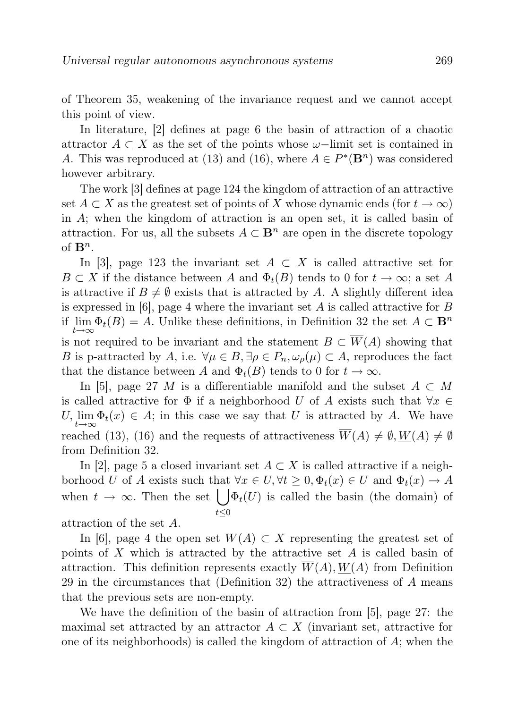of Theorem 35, weakening of the invariance request and we cannot accept this point of view.

In literature, [2] defines at page 6 the basin of attraction of a chaotic attractor  $A \subset X$  as the set of the points whose  $\omega$ -limit set is contained in A. This was reproduced at (13) and (16), where  $A \in P^*(\mathbf{B}^n)$  was considered however arbitrary.

The work [3] defines at page 124 the kingdom of attraction of an attractive set  $A \subset X$  as the greatest set of points of X whose dynamic ends (for  $t \to \infty$ ) in A; when the kingdom of attraction is an open set, it is called basin of attraction. For us, all the subsets  $A \subset \mathbf{B}^n$  are open in the discrete topology of  $\mathbf{B}^n$ .

In [3], page 123 the invariant set  $A \subset X$  is called attractive set for  $B \subset X$  if the distance between A and  $\Phi_t(B)$  tends to 0 for  $t \to \infty$ ; a set A is attractive if  $B \neq \emptyset$  exists that is attracted by A. A slightly different idea is expressed in  $[6]$ , page 4 where the invariant set A is called attractive for B if  $\lim_{t\to\infty} \Phi_t(B) = A$ . Unlike these definitions, in Definition 32 the set  $A \subset \mathbf{B}^n$ is not required to be invariant and the statement  $B \subset \overline{W}(A)$  showing that B is p-attracted by A, i.e.  $\forall \mu \in B, \exists \rho \in P_n, \omega_\rho(\mu) \subset A$ , reproduces the fact that the distance between A and  $\Phi_t(B)$  tends to 0 for  $t \to \infty$ .

In [5], page 27 M is a differentiable manifold and the subset  $A \subset M$ is called attractive for  $\Phi$  if a neighborhood U of A exists such that  $\forall x \in$  $U, \lim_{t \to \infty} \Phi_t(x) \in A$ ; in this case we say that U is attracted by A. We have reached (13), (16) and the requests of attractiveness  $\overline{W}(A) \neq \emptyset$ ,  $W(A) \neq \emptyset$ from Definition 32.

In [2], page 5 a closed invariant set  $A \subset X$  is called attractive if a neighborhood U of A exists such that  $\forall x \in U, \forall t \geq 0, \Phi_t(x) \in U$  and  $\Phi_t(x) \to A$ when  $t \to \infty$ . Then the set  $\int \Phi_t(U)$  is called the basin (the domain) of  $t\leq 0$ 

attraction of the set A.

In [6], page 4 the open set  $W(A) \subset X$  representing the greatest set of points of X which is attracted by the attractive set  $A$  is called basin of attraction. This definition represents exactly  $W(A)$ ,  $W(A)$  from Definition 29 in the circumstances that (Definition 32) the attractiveness of A means that the previous sets are non-empty.

We have the definition of the basin of attraction from [5], page 27: the maximal set attracted by an attractor  $A \subset X$  (invariant set, attractive for one of its neighborhoods) is called the kingdom of attraction of  $A$ ; when the